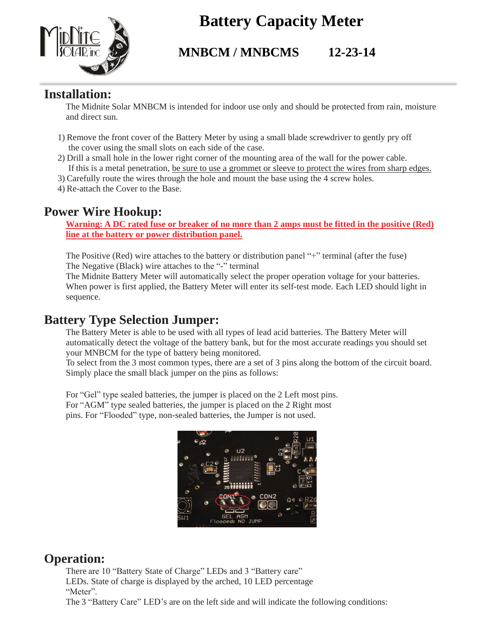

## **Battery Capacity Meter**

### **MNBCM / MNBCMS 12-23-14**

#### **Installation:**

The Midnite Solar MNBCM is intended for indoor use only and should be protected from rain, moisture and direct sun.

- 1) Remove the front cover of the Battery Meter by using a small blade screwdriver to gently pry off the cover using the small slots on each side of the case.
- 2) Drill a small hole in the lower right corner of the mounting area of the wall for the power cable. If this is a metal penetration, be sure to use a grommet or sleeve to protect the wires from sharp edges.
- 3) Carefully route the wires through the hole and mount the base using the 4 screw holes.
- 4) Re-attach the Cover to the Base.

#### **Power Wire Hookup:**

**Warning: A DC rated fuse or breaker of no more than 2 amps must be fitted in the positive (Red) line at the battery or power distribution panel.**

The Positive (Red) wire attaches to the battery or distribution panel "+" terminal (after the fuse) The Negative (Black) wire attaches to the "-" terminal

The Midnite Battery Meter will automatically select the proper operation voltage for your batteries. When power is first applied, the Battery Meter will enter its self-test mode. Each LED should light in sequence.

#### **Battery Type Selection Jumper:**

The Battery Meter is able to be used with all types of lead acid batteries. The Battery Meter will automatically detect the voltage of the battery bank, but for the most accurate readings you should set your MNBCM for the type of battery being monitored.

To select from the 3 most common types, there are a set of 3 pins along the bottom of the circuit board. Simply place the small black jumper on the pins as follows:

For "Gel" type sealed batteries, the jumper is placed on the 2 Left most pins. For "AGM" type sealed batteries, the jumper is placed on the 2 Right most pins. For "Flooded" type, non-sealed batteries, the Jumper is not used.



#### **Operation:**

There are 10 "Battery State of Charge" LEDs and 3 "Battery care" LEDs. State of charge is displayed by the arched, 10 LED percentage "Meter".

The 3 "Battery Care" LED's are on the left side and will indicate the following conditions: